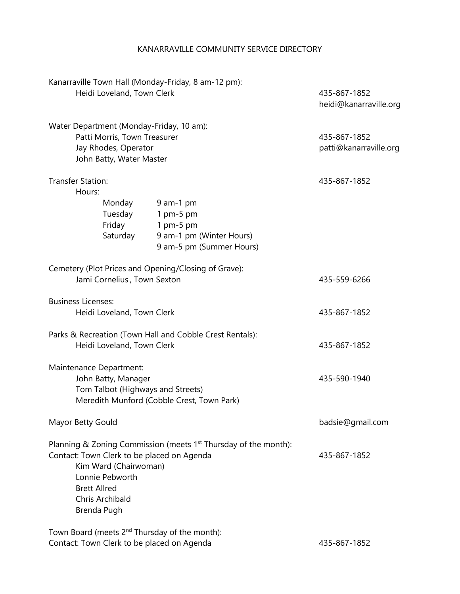## KANARRAVILLE COMMUNITY SERVICE DIRECTORY

| Kanarraville Town Hall (Monday-Friday, 8 am-12 pm):<br>Heidi Loveland, Town Clerk<br>Water Department (Monday-Friday, 10 am):<br>Patti Morris, Town Treasurer<br>Jay Rhodes, Operator<br>John Batty, Water Master |                                                                                               | 435-867-1852<br>heidi@kanarraville.org |
|-------------------------------------------------------------------------------------------------------------------------------------------------------------------------------------------------------------------|-----------------------------------------------------------------------------------------------|----------------------------------------|
|                                                                                                                                                                                                                   |                                                                                               | 435-867-1852<br>patti@kanarraville.org |
| <b>Transfer Station:</b><br>Hours:                                                                                                                                                                                |                                                                                               | 435-867-1852                           |
| Monday<br>Tuesday<br>Friday<br>Saturday                                                                                                                                                                           | $9$ am-1 pm<br>1 pm-5 pm<br>1 pm-5 pm<br>9 am-1 pm (Winter Hours)<br>9 am-5 pm (Summer Hours) |                                        |
| Cemetery (Plot Prices and Opening/Closing of Grave):<br>Jami Cornelius, Town Sexton                                                                                                                               |                                                                                               | 435-559-6266                           |
| <b>Business Licenses:</b><br>Heidi Loveland, Town Clerk                                                                                                                                                           |                                                                                               | 435-867-1852                           |
| Parks & Recreation (Town Hall and Cobble Crest Rentals):<br>Heidi Loveland, Town Clerk                                                                                                                            |                                                                                               | 435-867-1852                           |
| Maintenance Department:<br>John Batty, Manager<br>Tom Talbot (Highways and Streets)<br>Meredith Munford (Cobble Crest, Town Park)                                                                                 |                                                                                               | 435-590-1940                           |
| Mayor Betty Gould                                                                                                                                                                                                 |                                                                                               | badsie@gmail.com                       |
| Contact: Town Clerk to be placed on Agenda<br>Kim Ward (Chairwoman)<br>Lonnie Pebworth<br><b>Brett Allred</b><br>Chris Archibald<br>Brenda Pugh                                                                   | Planning & Zoning Commission (meets 1 <sup>st</sup> Thursday of the month):                   | 435-867-1852                           |
| Town Board (meets 2 <sup>nd</sup> Thursday of the month):<br>Contact: Town Clerk to be placed on Agenda                                                                                                           |                                                                                               | 435-867-1852                           |